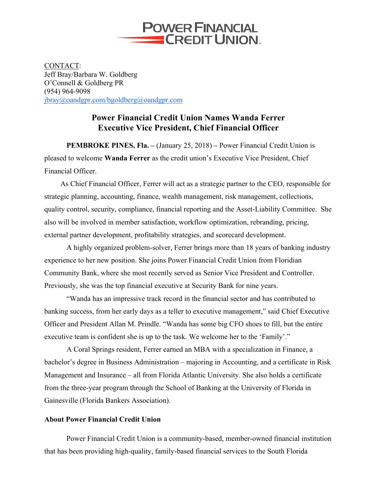

CONTACT: Jeff Bray/Barbara W. Goldberg O'Connell & Goldberg PR (954) 964-9098 jbray@oandgpr.com/bgoldberg@oandgpr.com

## **Power Financial Credit Union Names Wanda Ferrer Executive Vice President, Chief Financial Officer**

**PEMBROKE PINES, Fla. –** (January 25, 2018) **–** Power Financial Credit Union is pleased to welcome **Wanda Ferrer** as the credit union's Executive Vice President, Chief Financial Officer.

As Chief Financial Officer, Ferrer will act as a strategic partner to the CEO, responsible for strategic planning, accounting, finance, wealth management, risk management, collections, quality control, security, compliance, financial reporting and the Asset-Liability Committee. She also will be involved in member satisfaction, workflow optimization, rebranding, pricing, external partner development, profitability strategies, and scorecard development.

A highly organized problem-solver, Ferrer brings more than 18 years of banking industry experience to her new position. She joins Power Financial Credit Union from Floridian Community Bank, where she most recently served as Senior Vice President and Controller. Previously, she was the top financial executive at Security Bank for nine years.

"Wanda has an impressive track record in the financial sector and has contributed to banking success, from her early days as a teller to executive management," said Chief Executive Officer and President Allan M. Prindle. "Wanda has some big CFO shoes to fill, but the entire executive team is confident she is up to the task. We welcome her to the 'Family'."

A Coral Springs resident, Ferrer earned an MBA with a specialization in Finance, a bachelor's degree in Business Administration – majoring in Accounting, and a certificate in Risk Management and Insurance – all from Florida Atlantic University. She also holds a certificate from the three-year program through the School of Banking at the University of Florida in Gainesville (Florida Bankers Association).

## **About Power Financial Credit Union**

Power Financial Credit Union is a community-based, member-owned financial institution that has been providing high-quality, family-based financial services to the South Florida